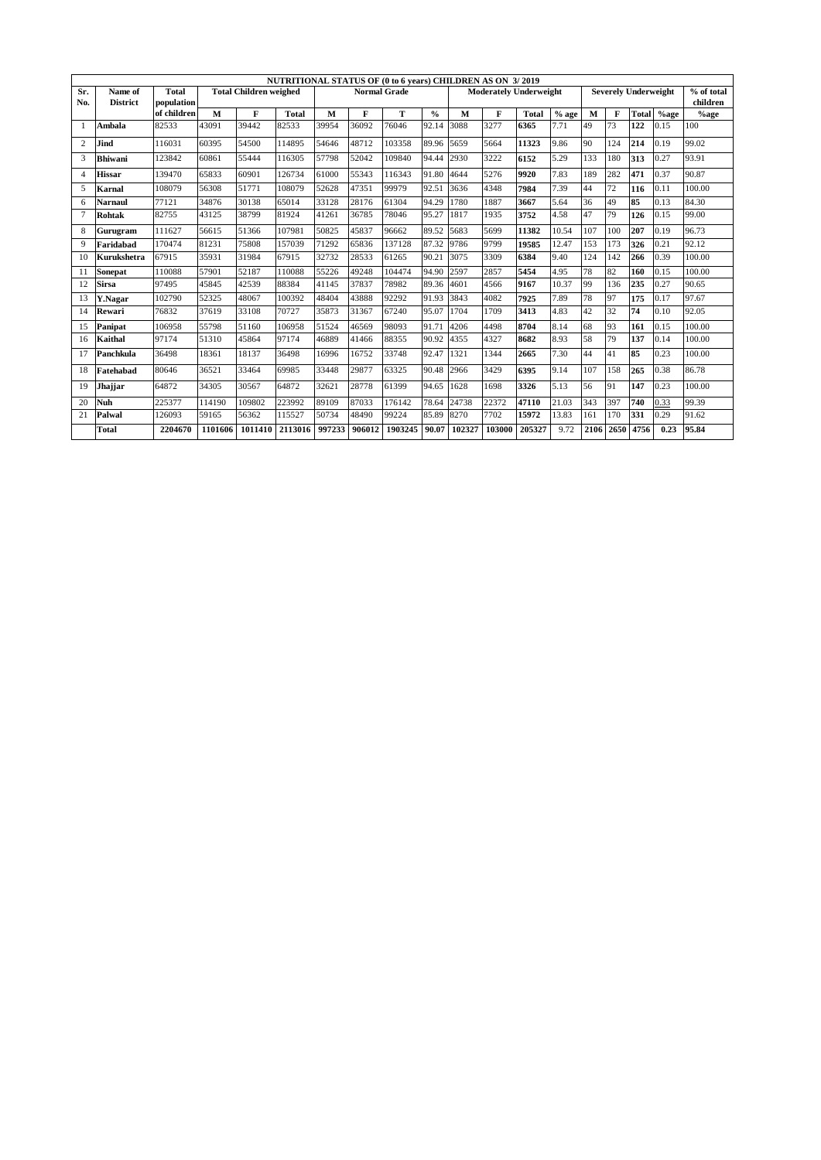|     |                 |              |         |                               | NUTRITIONAL STATUS OF (0 to 6 years) CHILDREN AS ON 3/2019 |        |                     |         |               |        |                               |              |         |      |      |                             |         |            |
|-----|-----------------|--------------|---------|-------------------------------|------------------------------------------------------------|--------|---------------------|---------|---------------|--------|-------------------------------|--------------|---------|------|------|-----------------------------|---------|------------|
| Sr. | Name of         | <b>Total</b> |         | <b>Total Children weighed</b> |                                                            |        | <b>Normal Grade</b> |         |               |        | <b>Moderately Underweight</b> |              |         |      |      | <b>Severely Underweight</b> |         | % of total |
| No. | <b>District</b> | population   |         |                               |                                                            |        |                     |         |               |        |                               |              |         |      |      |                             |         | children   |
|     |                 | of children  | M       | F                             | <b>Total</b>                                               | M      | F                   | т       | $\frac{0}{0}$ | M      | F                             | <b>Total</b> | $%$ age | M    | F    | Total                       | $%$ age | $%$ age    |
| 1   | Ambala          | 82533        | 43091   | 39442                         | 82533                                                      | 39954  | 36092               | 76046   | 92.14         | 3088   | 3277                          | 6365         | 7.71    | 49   | 73   | 122                         | 0.15    | 100        |
| 2   | Jind            | 116031       | 60395   | 54500                         | 114895                                                     | 54646  | 48712               | 103358  | 89.96         | 5659   | 5664                          | 11323        | 9.86    | 90   | 124  | 214                         | 0.19    | 99.02      |
| 3   | <b>Bhiwani</b>  | 123842       | 60861   | 55444                         | 116305                                                     | 57798  | 52042               | 109840  | 94.44         | 2930   | 3222                          | 6152         | 5.29    | 133  | 180  | 313                         | 0.27    | 93.91      |
| 4   | <b>Hissar</b>   | 139470       | 65833   | 60901                         | 126734                                                     | 61000  | 55343               | 116343  | 91.80         | 4644   | 5276                          | 9920         | 7.83    | 189  | 282  | 471                         | 0.37    | 90.87      |
| 5   | Karnal          | 108079       | 56308   | 51771                         | 108079                                                     | 52628  | 47351               | 99979   | 92.51         | 3636   | 4348                          | 7984         | 7.39    | 44   | 72   | 116                         | 0.11    | 100.00     |
| 6   | <b>Narnaul</b>  | 77121        | 34876   | 30138                         | 65014                                                      | 33128  | 28176               | 61304   | 94.29         | 1780   | 1887                          | 3667         | 5.64    | 36   | 49   | 85                          | 0.13    | 84.30      |
| 7   | <b>Rohtak</b>   | 82755        | 43125   | 38799                         | 81924                                                      | 41261  | 36785               | 78046   | 95.27         | 1817   | 1935                          | 3752         | 4.58    | 47   | 79   | 126                         | 0.15    | 99.00      |
| 8   | Gurugram        | 111627       | 56615   | 51366                         | 107981                                                     | 50825  | 45837               | 96662   | 89.52         | 5683   | 5699                          | 11382        | 10.54   | 107  | 100  | 207                         | 0.19    | 96.73      |
| 9   | Faridabad       | 170474       | 81231   | 75808                         | 157039                                                     | 71292  | 65836               | 137128  | 87.32         | 9786   | 9799                          | 19585        | 12.47   | 153  | 173  | 326                         | 0.21    | 92.12      |
| 10  | Kurukshetra     | 67915        | 35931   | 31984                         | 67915                                                      | 32732  | 28533               | 61265   | 90.21         | 3075   | 3309                          | 6384         | 9.40    | 124  | 142  | 266                         | 0.39    | 100.00     |
| 11  | Sonepat         | 110088       | 57901   | 52187                         | 110088                                                     | 55226  | 49248               | 104474  | 94.90         | 2597   | 2857                          | 5454         | 4.95    | 78   | 82   | 160                         | 0.15    | 100.00     |
| 12  | <b>Sirsa</b>    | 97495        | 45845   | 42539                         | 88384                                                      | 41145  | 37837               | 78982   | 89.36         | 4601   | 4566                          | 9167         | 10.37   | 99   | 136  | 235                         | 0.27    | 90.65      |
| 13  | Y.Nagar         | 102790       | 52325   | 48067                         | 100392                                                     | 48404  | 43888               | 92292   | 91.93         | 3843   | 4082                          | 7925         | 7.89    | 78   | 97   | 175                         | 0.17    | 97.67      |
| 14  | Rewari          | 76832        | 37619   | 33108                         | 70727                                                      | 35873  | 31367               | 67240   | 95.07         | 1704   | 1709                          | 3413         | 4.83    | 42   | 32   | 74                          | 0.10    | 92.05      |
| 15  | Panipat         | 106958       | 55798   | 51160                         | 106958                                                     | 51524  | 46569               | 98093   | 91.71         | 4206   | 4498                          | 8704         | 8.14    | 68   | 93   | 161                         | 0.15    | 100.00     |
| 16  | Kaithal         | 97174        | 51310   | 45864                         | 97174                                                      | 46889  | 41466               | 88355   | 90.92         | 4355   | 4327                          | 8682         | 8.93    | 58   | 79   | 137                         | 0.14    | 100.00     |
| 17  | Panchkula       | 36498        | 18361   | 18137                         | 36498                                                      | 16996  | 16752               | 33748   | 92.47         | 1321   | 1344                          | 2665         | 7.30    | 44   | 41   | 85                          | 0.23    | 100.00     |
| 18  | Fatehabad       | 80646        | 36521   | 33464                         | 69985                                                      | 33448  | 29877               | 63325   | 90.48         | 2966   | 3429                          | 6395         | 9.14    | 107  | 158  | 265                         | 0.38    | 86.78      |
| 19  | Jhajjar         | 64872        | 34305   | 30567                         | 64872                                                      | 32621  | 28778               | 61399   | 94.65         | 1628   | 1698                          | 3326         | 5.13    | 56   | 91   | 147                         | 0.23    | 100.00     |
| 20  | Nuh             | 225377       | 114190  | 109802                        | 223992                                                     | 89109  | 87033               | 176142  | 78.64         | 24738  | 22372                         | 47110        | 21.03   | 343  | 397  | 740                         | 0.33    | 99.39      |
| 21  | Palwal          | 126093       | 59165   | 56362                         | 115527                                                     | 50734  | 48490               | 99224   | 85.89         | 8270   | 7702                          | 15972        | 13.83   | 161  | 170  | 331                         | 0.29    | 91.62      |
|     | Total           | 2204670      | 1101606 | 1011410                       | 2113016                                                    | 997233 | 906012              | 1903245 | 90.07         | 102327 | 103000                        | 205327       | 9.72    | 2106 | 2650 | 4756                        | 0.23    | 95.84      |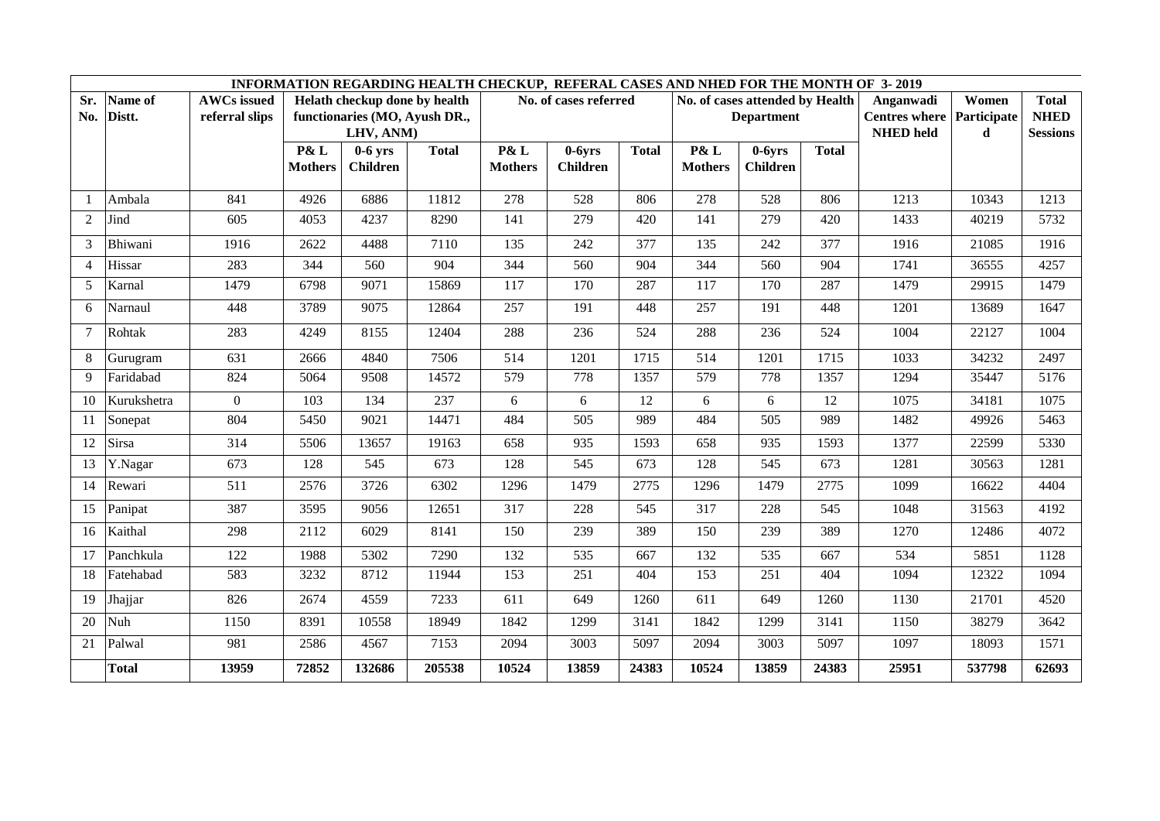|                |                   |                                      |                |                                                                | INFORMATION REGARDING HEALTH CHECKUP, REFERAL CASES AND NHED FOR THE MONTH OF 3-2019 |                |                       |              |                                 |                   |              |                                   |                      |                             |
|----------------|-------------------|--------------------------------------|----------------|----------------------------------------------------------------|--------------------------------------------------------------------------------------|----------------|-----------------------|--------------|---------------------------------|-------------------|--------------|-----------------------------------|----------------------|-----------------------------|
| Sr.<br>No.     | Name of<br>Distt. | <b>AWCs</b> issued<br>referral slips |                | Helath checkup done by health<br>functionaries (MO, Ayush DR., |                                                                                      |                | No. of cases referred |              | No. of cases attended by Health | <b>Department</b> |              | Anganwadi<br><b>Centres where</b> | Women<br>Participate | <b>Total</b><br><b>NHED</b> |
|                |                   |                                      |                | LHV, ANM)                                                      |                                                                                      |                |                       |              |                                 |                   |              | <b>NHED</b> held                  | d                    | <b>Sessions</b>             |
|                |                   |                                      | P& L           | $0-6$ yrs                                                      | <b>Total</b>                                                                         | P& L           | $0-6yrs$              | <b>Total</b> | P& L                            | $0-6yrs$          | <b>Total</b> |                                   |                      |                             |
|                |                   |                                      | <b>Mothers</b> | <b>Children</b>                                                |                                                                                      | <b>Mothers</b> | <b>Children</b>       |              | <b>Mothers</b>                  | <b>Children</b>   |              |                                   |                      |                             |
| - 1            | Ambala            | 841                                  | 4926           | 6886                                                           | 11812                                                                                | 278            | 528                   | 806          | 278                             | 528               | 806          | 1213                              | 10343                | 1213                        |
| 2              | Jind              | 605                                  | 4053           | 4237                                                           | 8290                                                                                 | 141            | 279                   | 420          | 141                             | 279               | 420          | 1433                              | 40219                | 5732                        |
| 3              | Bhiwani           | 1916                                 | 2622           | 4488                                                           | 7110                                                                                 | 135            | 242                   | 377          | 135                             | 242               | 377          | 1916                              | 21085                | 1916                        |
| $\overline{4}$ | Hissar            | 283                                  | 344            | 560                                                            | 904                                                                                  | 344            | 560                   | 904          | 344                             | 560               | 904          | 1741                              | 36555                | 4257                        |
| 5              | Karnal            | 1479                                 | 6798           | 9071                                                           | 15869                                                                                | 117            | 170                   | 287          | 117                             | 170               | 287          | 1479                              | 29915                | 1479                        |
| 6              | Narnaul           | 448                                  | 3789           | 9075                                                           | 12864                                                                                | 257            | 191                   | 448          | 257                             | 191               | 448          | 1201                              | 13689                | 1647                        |
| $\overline{7}$ | Rohtak            | 283                                  | 4249           | 8155                                                           | 12404                                                                                | 288            | 236                   | 524          | 288                             | 236               | 524          | 1004                              | 22127                | 1004                        |
| 8              | Gurugram          | 631                                  | 2666           | 4840                                                           | 7506                                                                                 | 514            | 1201                  | 1715         | 514                             | 1201              | 1715         | 1033                              | 34232                | 2497                        |
| 9              | Faridabad         | 824                                  | 5064           | 9508                                                           | 14572                                                                                | 579            | 778                   | 1357         | 579                             | 778               | 1357         | 1294                              | 35447                | 5176                        |
| 10             | Kurukshetra       | $\overline{0}$                       | 103            | 134                                                            | 237                                                                                  | 6              | 6                     | 12           | 6                               | 6                 | 12           | 1075                              | 34181                | 1075                        |
| <sup>11</sup>  | Sonepat           | 804                                  | 5450           | 9021                                                           | 14471                                                                                | 484            | 505                   | 989          | 484                             | 505               | 989          | 1482                              | 49926                | 5463                        |
| 12             | Sirsa             | 314                                  | 5506           | 13657                                                          | 19163                                                                                | 658            | 935                   | 1593         | 658                             | 935               | 1593         | 1377                              | 22599                | 5330                        |
| 13             | Y.Nagar           | 673                                  | 128            | 545                                                            | 673                                                                                  | 128            | 545                   | 673          | 128                             | 545               | 673          | 1281                              | 30563                | 1281                        |
| 14             | Rewari            | 511                                  | 2576           | 3726                                                           | 6302                                                                                 | 1296           | 1479                  | 2775         | 1296                            | 1479              | 2775         | 1099                              | 16622                | 4404                        |
| 15             | Panipat           | 387                                  | 3595           | 9056                                                           | 12651                                                                                | 317            | 228                   | 545          | 317                             | 228               | 545          | 1048                              | 31563                | 4192                        |
| 16             | Kaithal           | 298                                  | 2112           | 6029                                                           | 8141                                                                                 | 150            | 239                   | 389          | 150                             | 239               | 389          | 1270                              | 12486                | 4072                        |
| 17             | Panchkula         | 122                                  | 1988           | 5302                                                           | 7290                                                                                 | 132            | 535                   | 667          | 132                             | 535               | 667          | 534                               | 5851                 | 1128                        |
| 18             | Fatehabad         | 583                                  | 3232           | 8712                                                           | 11944                                                                                | 153            | 251                   | 404          | 153                             | 251               | 404          | 1094                              | 12322                | 1094                        |
| 19             | Jhajjar           | 826                                  | 2674           | 4559                                                           | 7233                                                                                 | 611            | 649                   | 1260         | 611                             | 649               | 1260         | 1130                              | 21701                | 4520                        |
| 20             | Nuh               | 1150                                 | 8391           | 10558                                                          | 18949                                                                                | 1842           | 1299                  | 3141         | 1842                            | 1299              | 3141         | 1150                              | 38279                | 3642                        |
| 21             | Palwal            | 981                                  | 2586           | 4567<br>7153<br>2094                                           |                                                                                      |                | 3003                  | 5097         | 2094                            | 3003              | 5097         | 1097                              | 18093                | 1571                        |
|                | <b>Total</b>      | 13959                                | 72852          | 132686                                                         | 205538                                                                               | 10524          | 13859                 | 24383        | 10524                           | 13859             | 24383        | 25951                             | 537798               | 62693                       |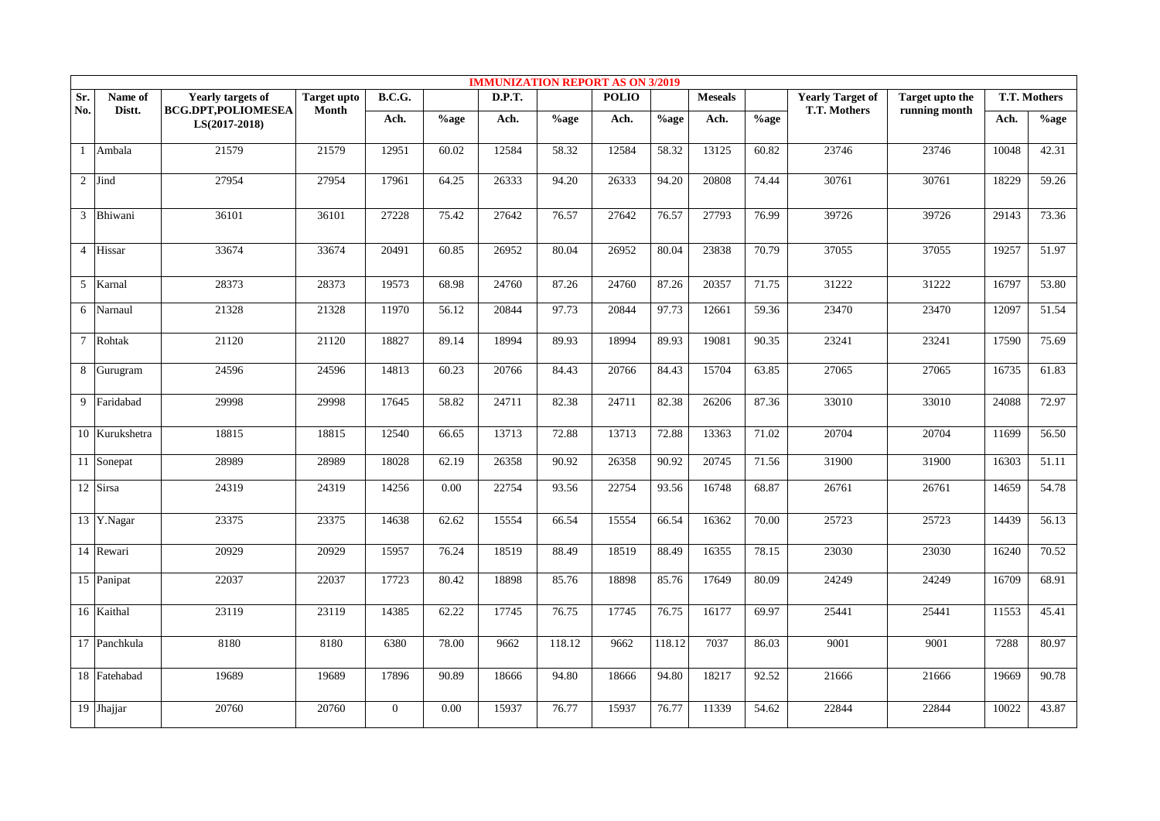|                |                           |                                              |                    |                |         | <b>IMMUNIZATION REPORT AS ON 3/2019</b> |         |              |         |                |          |                         |                        |       |              |
|----------------|---------------------------|----------------------------------------------|--------------------|----------------|---------|-----------------------------------------|---------|--------------|---------|----------------|----------|-------------------------|------------------------|-------|--------------|
| Sr.            | Name of                   | <b>Yearly targets of</b>                     | <b>Target upto</b> | B.C.G.         |         | <b>D.P.T.</b>                           |         | <b>POLIO</b> |         | <b>Meseals</b> |          | <b>Yearly Target of</b> | <b>Target upto the</b> |       | T.T. Mothers |
| No.            | Distt.                    | <b>BCG.DPT,POLIOMESEA</b><br>$LS(2017-2018)$ | Month              | Ach.           | $%$ age | Ach.                                    | $%$ age | Ach.         | $%$ age | Ach.           | $\%$ age | T.T. Mothers            | running month          | Ach.  | $%$ age      |
| $\mathbf{1}$   | Ambala                    | 21579                                        | 21579              | 12951          | 60.02   | 12584                                   | 58.32   | 12584        | 58.32   | 13125          | 60.82    | 23746                   | 23746                  | 10048 | 42.31        |
| $\overline{2}$ | Jind                      | 27954                                        | 27954              | 17961          | 64.25   | 26333                                   | 94.20   | 26333        | 94.20   | 20808          | 74.44    | 30761                   | 30761                  | 18229 | 59.26        |
| $\overline{3}$ | Bhiwani                   | 36101                                        | 36101              | 27228          | 75.42   | 27642                                   | 76.57   | 27642        | 76.57   | 27793          | 76.99    | 39726                   | 39726                  | 29143 | 73.36        |
| $\overline{4}$ | Hissar                    | 33674                                        | 33674              | 20491          | 60.85   | 26952                                   | 80.04   | 26952        | 80.04   | 23838          | 70.79    | 37055                   | 37055                  | 19257 | 51.97        |
| 5              | Karnal                    | 28373                                        | 28373              | 19573          | 68.98   | 24760                                   | 87.26   | 24760        | 87.26   | 20357          | 71.75    | 31222                   | 31222                  | 16797 | 53.80        |
| 6              | Narnaul                   | 21328                                        | 21328              | 11970          | 56.12   | 20844                                   | 97.73   | 20844        | 97.73   | 12661          | 59.36    | 23470                   | 23470                  | 12097 | 51.54        |
| $\tau$         | Rohtak                    | 21120                                        | 21120              | 18827          | 89.14   | 18994                                   | 89.93   | 18994        | 89.93   | 19081          | 90.35    | 23241                   | 23241                  | 17590 | 75.69        |
| 8              | Gurugram                  | 24596                                        | 24596              | 14813          | 60.23   | 20766                                   | 84.43   | 20766        | 84.43   | 15704          | 63.85    | 27065                   | 27065                  | 16735 | 61.83        |
|                | 9 Faridabad               | 29998                                        | 29998              | 17645          | 58.82   | 24711                                   | 82.38   | 24711        | 82.38   | 26206          | 87.36    | 33010                   | 33010                  | 24088 | 72.97        |
|                | 10 Kurukshetra            | 18815                                        | 18815              | 12540          | 66.65   | 13713                                   | 72.88   | 13713        | 72.88   | 13363          | 71.02    | 20704                   | 20704                  | 11699 | 56.50        |
|                | 11 Sonepat                | 28989                                        | 28989              | 18028          | 62.19   | 26358                                   | 90.92   | 26358        | 90.92   | 20745          | 71.56    | 31900                   | 31900                  | 16303 | 51.11        |
|                | 12 Sirsa                  | 24319                                        | 24319              | 14256          | 0.00    | 22754                                   | 93.56   | 22754        | 93.56   | 16748          | 68.87    | 26761                   | 26761                  | 14659 | 54.78        |
|                | 13 Y.Nagar                | 23375                                        | 23375              | 14638          | 62.62   | 15554                                   | 66.54   | 15554        | 66.54   | 16362          | 70.00    | 25723                   | 25723                  | 14439 | 56.13        |
|                | 14 Rewari                 | 20929                                        | 20929              | 15957          | 76.24   | 18519                                   | 88.49   | 18519        | 88.49   | 16355          | 78.15    | 23030                   | 23030                  | 16240 | 70.52        |
|                | 15 Panipat                | 22037                                        | 22037              | 17723          | 80.42   | 18898                                   | 85.76   | 18898        | 85.76   | 17649          | 80.09    | 24249                   | 24249                  | 16709 | 68.91        |
|                | 16 Kaithal                | 23119                                        | 23119              | 14385          | 62.22   | 17745                                   | 76.75   | 17745        | 76.75   | 16177          | 69.97    | 25441                   | 25441                  | 11553 | 45.41        |
|                | $\overline{17}$ Panchkula | 8180                                         | 8180               | 6380           | 78.00   | 9662                                    | 118.12  | 9662         | 118.12  | 7037           | 86.03    | 9001                    | 9001                   | 7288  | 80.97        |
|                | 18 Fatehabad              | 19689                                        | 19689              | 17896          | 90.89   | 18666                                   | 94.80   | 18666        | 94.80   | 18217          | 92.52    | 21666                   | 21666                  | 19669 | 90.78        |
|                | 19 Jhajjar                | 20760                                        | 20760              | $\overline{0}$ | 0.00    | 15937                                   | 76.77   | 15937        | 76.77   | 11339          | 54.62    | 22844                   | 22844                  | 10022 | 43.87        |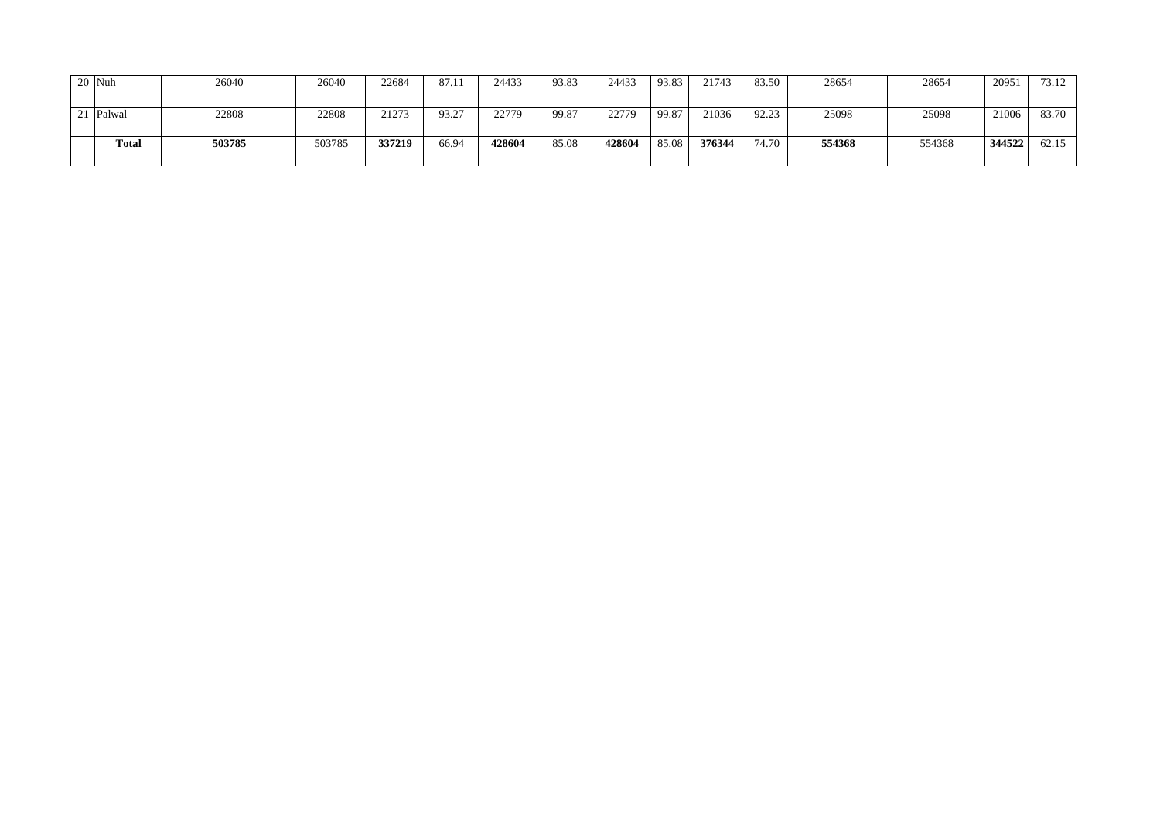| 20 Nuh    | 26040  | 26040  | 22684  | 87.11 | 24433  | 93.83 | 24433  | 93.83 | 21743  | 83.50 | 28654  | 28654  | 20951  | 73.12 |
|-----------|--------|--------|--------|-------|--------|-------|--------|-------|--------|-------|--------|--------|--------|-------|
| 21 Palwal | 22808  | 22808  | 21273  | 93.27 | 22779  | 99.87 | 22779  | 99.87 | 21036  | 92.23 | 25098  | 25098  | 21006  | 83.70 |
| Total     | 503785 | 503785 | 337219 | 66.94 | 428604 | 85.08 | 428604 | 85.08 | 376344 | 74.70 | 554368 | 554368 | 344522 | 62.15 |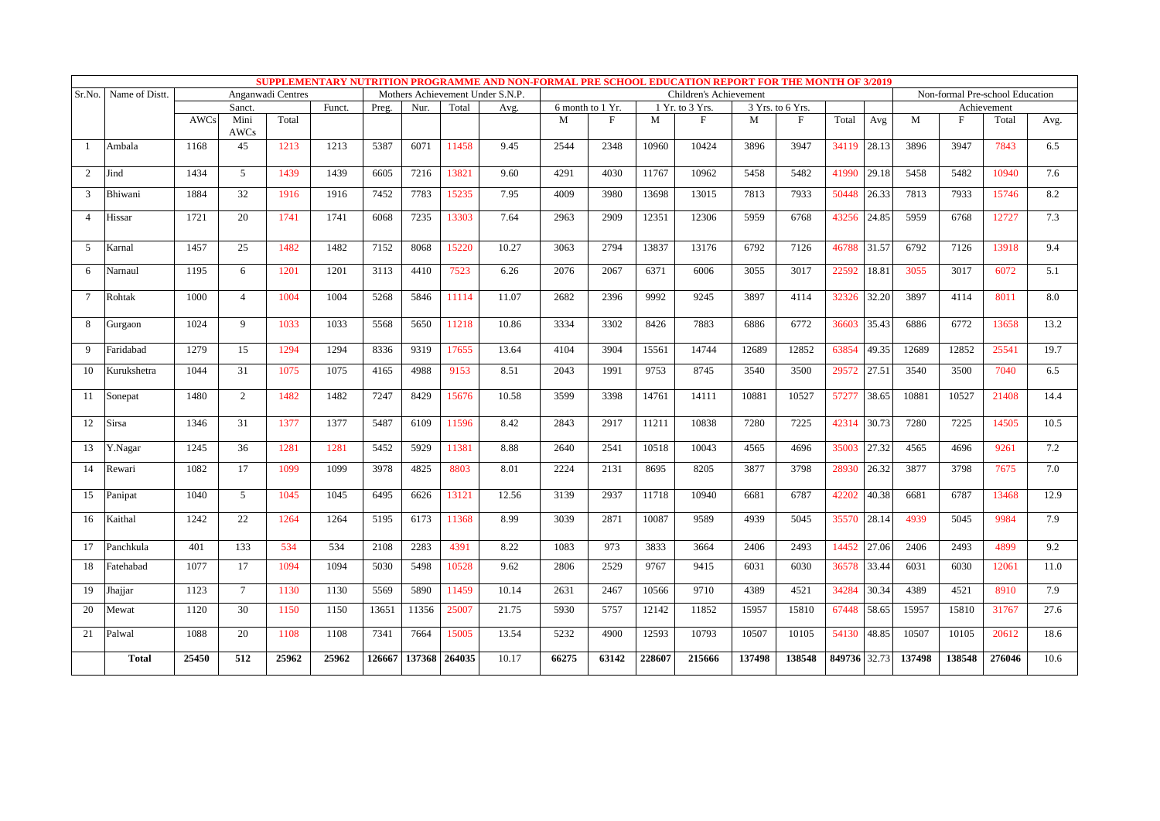|                |                |             |                 |                   |        |        |               |       |                                  |       |                  |        |                        |        | SUPPLEMENTARY NUTRITION PROGRAMME AND NON-FORMAL PRE SCHOOL EDUCATION REPORT FOR THE MONTH OF 3/2019 |                |        |        |                                 |      |
|----------------|----------------|-------------|-----------------|-------------------|--------|--------|---------------|-------|----------------------------------|-------|------------------|--------|------------------------|--------|------------------------------------------------------------------------------------------------------|----------------|--------|--------|---------------------------------|------|
| Sr.No.         | Name of Distt. |             |                 | Anganwadi Centres |        |        |               |       | Mothers Achievement Under S.N.P. |       |                  |        | Children's Achievement |        |                                                                                                      |                |        |        | Non-formal Pre-school Education |      |
|                |                |             | Sanct.          |                   | Funct. | Preg.  | Nur.          | Total | Avg.                             |       | 6 month to 1 Yr. |        | 1 Yr. to 3 Yrs.        |        | 3 Yrs. to 6 Yrs.                                                                                     |                |        |        | Achievement                     |      |
|                |                | <b>AWCs</b> | Mini<br>AWCs    | Total             |        |        |               |       |                                  | M     | F                | M      | $\mathbf{F}$           | M      | F                                                                                                    | Total<br>Avg   | M      | F      | Total                           | Avg. |
| $\overline{1}$ | Ambala         | 1168        | 45              | 1213              | 1213   | 5387   | 6071          | 11458 | 9.45                             | 2544  | 2348             | 10960  | 10424                  | 3896   | 3947                                                                                                 | 34119<br>28.13 | 3896   | 3947   | 7843                            | 6.5  |
| $\overline{2}$ | Jind           | 1434        | 5               | 1439              | 1439   | 6605   | 7216          | 13821 | 9.60                             | 4291  | 4030             | 11767  | 10962                  | 5458   | 5482                                                                                                 | 29.18<br>41990 | 5458   | 5482   | 10940                           | 7.6  |
| 3              | Bhiwani        | 1884        | 32              | 1916              | 1916   | 7452   | 7783          | 15235 | 7.95                             | 4009  | 3980             | 13698  | 13015                  | 7813   | 7933                                                                                                 | 50448<br>26.33 | 7813   | 7933   | 15746                           | 8.2  |
| $\overline{A}$ | Hissar         | 1721        | 20              | 1741              | 1741   | 6068   | 7235          | 13303 | 7.64                             | 2963  | 2909             | 12351  | 12306                  | 5959   | 6768                                                                                                 | 24.85<br>43256 | 5959   | 6768   | 12727                           | 7.3  |
| .5             | Karnal         | 1457        | 25              | 1482              | 1482   | 7152   | 8068          | 15220 | 10.27                            | 3063  | 2794             | 13837  | 13176                  | 6792   | 7126                                                                                                 | 46788<br>31.57 | 6792   | 7126   | 13918                           | 9.4  |
| 6              | Narnaul        | 1195        | 6               | 1201              | 1201   | 3113   | 4410          | 7523  | 6.26                             | 2076  | 2067             | 6371   | 6006                   | 3055   | 3017                                                                                                 | 22592<br>18.81 | 3055   | 3017   | 6072                            | 5.1  |
| 7              | Rohtak         | 1000        | $\overline{4}$  | 1004              | 1004   | 5268   | 5846          | 11114 | 11.07                            | 2682  | 2396             | 9992   | 9245                   | 3897   | 4114                                                                                                 | 32326<br>32.20 | 3897   | 4114   | 8011                            | 8.0  |
| 8              | Gurgaon        | 1024        | 9               | 1033              | 1033   | 5568   | 5650          | 11218 | 10.86                            | 3334  | 3302             | 8426   | 7883                   | 6886   | 6772                                                                                                 | 36603<br>35.43 | 6886   | 6772   | 13658                           | 13.2 |
| 9              | Faridabad      | 1279        | 15              | 1294              | 1294   | 8336   | 9319          | 17655 | 13.64                            | 4104  | 3904             | 15561  | 14744                  | 12689  | 12852                                                                                                | 63854<br>49.35 | 12689  | 12852  | 25541                           | 19.7 |
| 10             | Kurukshetra    | 1044        | 31              | 1075              | 1075   | 4165   | 4988          | 9153  | 8.51                             | 2043  | 1991             | 9753   | 8745                   | 3540   | 3500                                                                                                 | 29572<br>27.51 | 3540   | 3500   | 7040                            | 6.5  |
| 11             | Sonepat        | 1480        | 2               | 1482              | 1482   | 7247   | 8429          | 15676 | 10.58                            | 3599  | 3398             | 14761  | 14111                  | 10881  | 10527                                                                                                | 57277<br>38.65 | 10881  | 10527  | 21408                           | 14.4 |
| 12             | Sirsa          | 1346        | 31              | 1377              | 1377   | 5487   | 6109          | 11596 | 8.42                             | 2843  | 2917             | 11211  | 10838                  | 7280   | 7225                                                                                                 | 42314<br>30.73 | 7280   | 7225   | 14505                           | 10.5 |
| 13             | Y.Nagar        | 1245        | 36              | 1281              | 1281   | 5452   | 5929          | 11381 | 8.88                             | 2640  | 2541             | 10518  | 10043                  | 4565   | 4696                                                                                                 | 35003<br>27.32 | 4565   | 4696   | 9261                            | 7.2  |
| 14             | Rewari         | 1082        | 17              | 1099              | 1099   | 3978   | 4825          | 8803  | 8.01                             | 2224  | 2131             | 8695   | 8205                   | 3877   | 3798                                                                                                 | 28930<br>26.32 | 3877   | 3798   | 7675                            | 7.0  |
| 15             | Panipat        | 1040        | 5               | 1045              | 1045   | 6495   | 6626          | 13121 | 12.56                            | 3139  | 2937             | 11718  | 10940                  | 6681   | 6787                                                                                                 | 42202<br>40.38 | 6681   | 6787   | 13468                           | 12.9 |
| 16             | Kaithal        | 1242        | 22              | 1264              | 1264   | 5195   | 6173          | 11368 | 8.99                             | 3039  | 2871             | 10087  | 9589                   | 4939   | 5045                                                                                                 | 35570<br>28.14 | 4939   | 5045   | 9984                            | 7.9  |
| 17             | Panchkula      | 401         | 133             | 534               | 534    | 2108   | 2283          | 4391  | 8.22                             | 1083  | 973              | 3833   | 3664                   | 2406   | 2493                                                                                                 | 27.06<br>14452 | 2406   | 2493   | 4899                            | 9.2  |
| 18             | Fatehabad      | 1077        | 17              | 1094              | 1094   | 5030   | 5498          | 10528 | 9.62                             | 2806  | 2529             | 9767   | 9415                   | 6031   | 6030                                                                                                 | 36578<br>33.44 | 6031   | 6030   | 12061                           | 11.0 |
| 19             | Jhajjar        | 1123        | $7\overline{ }$ | 1130              | 1130   | 5569   | 5890          | 11459 | 10.14                            | 2631  | 2467             | 10566  | 9710                   | 4389   | 4521                                                                                                 | 34284<br>30.34 | 4389   | 4521   | 8910                            | 7.9  |
| 20             | Mewat          | 1120        | 30              | 1150              | 1150   | 13651  | 11356         | 25007 | 21.75                            | 5930  | 5757             | 12142  | 11852                  | 15957  | 15810                                                                                                | 67448<br>58.65 | 15957  | 15810  | 31767                           | 27.6 |
| 21             | Palwal         | 1088        | 20              | 1108              | 1108   | 7341   | 7664          | 15005 | 13.54                            | 5232  | 4900             | 12593  | 10793                  | 10507  | 10105                                                                                                | 54130<br>48.85 | 10507  | 10105  | 20612                           | 18.6 |
|                | <b>Total</b>   | 25450       | 512             | 25962             | 25962  | 126667 | 137368 264035 |       | 10.17                            | 66275 | 63142            | 228607 | 215666                 | 137498 | 138548                                                                                               | 849736 32.73   | 137498 | 138548 | 276046                          | 10.6 |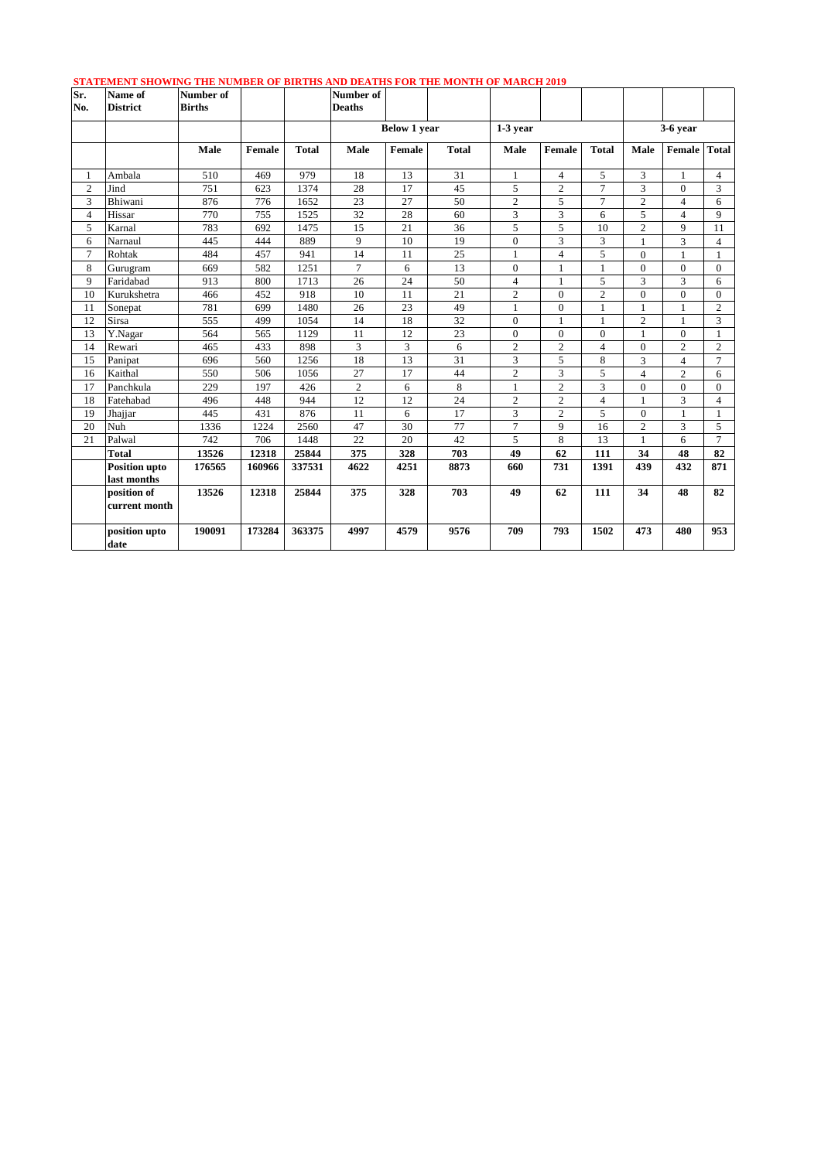| Sr.<br>No.     | Name of<br><b>District</b> | Number of<br><b>Births</b> |        |              | <u>DIATEMENT DIO MINO THE NOMDER OF DIRTHD AND DEATHD FOR THE MONTH OF MARCH 2012</u><br>Number of<br><b>Deaths</b> |                     |              |                  |                |                |                |                |                |
|----------------|----------------------------|----------------------------|--------|--------------|---------------------------------------------------------------------------------------------------------------------|---------------------|--------------|------------------|----------------|----------------|----------------|----------------|----------------|
|                |                            |                            |        |              |                                                                                                                     | <b>Below 1 year</b> |              | $1-3$ year       |                |                |                | $3-6$ year     |                |
|                |                            | Male                       | Female | <b>Total</b> | Male                                                                                                                | Female              | <b>Total</b> | Male             | Female         | <b>Total</b>   | Male           | Female         | <b>Total</b>   |
| 1              | Ambala                     | 510                        | 469    | 979          | 18                                                                                                                  | 13                  | 31           | $\mathbf{1}$     | $\overline{4}$ | 5              | 3              | $\mathbf{1}$   | $\overline{4}$ |
| $\overline{c}$ | Jind                       | 751                        | 623    | 1374         | 28                                                                                                                  | 17                  | 45           | 5                | $\sqrt{2}$     | $\overline{7}$ | 3              | $\Omega$       | 3              |
| 3              | Bhiwani                    | 876                        | 776    | 1652         | 23                                                                                                                  | 27                  | 50           | $\overline{2}$   | 5              | $\overline{7}$ | $\overline{2}$ | $\overline{4}$ | 6              |
| $\overline{4}$ | Hissar                     | 770                        | 755    | 1525         | 32                                                                                                                  | 28                  | 60           | 3                | 3              | 6              | 5              | $\overline{4}$ | 9              |
| 5              | Karnal                     | 783                        | 692    | 1475         | 15                                                                                                                  | 21                  | 36           | 5                | 5              | 10             | $\overline{c}$ | 9              | 11             |
| 6              | Narnaul                    | 445                        | 444    | 889          | 9                                                                                                                   | 10                  | 19           | $\boldsymbol{0}$ | 3              | 3              | $\mathbf{1}$   | 3              | $\overline{4}$ |
| $\tau$         | Rohtak                     | 484                        | 457    | 941          | 14                                                                                                                  | 11                  | 25           | $\mathbf{1}$     | $\overline{4}$ | 5              | $\Omega$       |                | $\mathbf{1}$   |
| 8              | Gurugram                   | 669                        | 582    | 1251         | $\tau$                                                                                                              | 6                   | 13           | $\overline{0}$   | 1              | 1              | $\overline{0}$ | $\theta$       | $\overline{0}$ |
| 9              | Faridabad                  | 913                        | 800    | 1713         | 26                                                                                                                  | 24                  | 50           | $\overline{4}$   | 1              | 5              | 3              | 3              | 6              |
| 10             | Kurukshetra                | 466                        | 452    | 918          | 10                                                                                                                  | 11                  | 21           | $\overline{c}$   | $\Omega$       | $\overline{2}$ | $\Omega$       | $\theta$       | $\Omega$       |
| 11             | Sonepat                    | 781                        | 699    | 1480         | 26                                                                                                                  | 23                  | 49           | $\mathbf{1}$     | $\mathbf{0}$   | $\mathbf 1$    | $\mathbf{1}$   | 1              | $\overline{c}$ |
| 12             | Sirsa                      | 555                        | 499    | 1054         | 14                                                                                                                  | 18                  | 32           | $\overline{0}$   | $\mathbf{1}$   | $\mathbf{1}$   | $\overline{c}$ |                | 3              |
| 13             | Y.Nagar                    | 564                        | 565    | 1129         | 11                                                                                                                  | 12                  | 23           | $\overline{0}$   | $\overline{0}$ | $\overline{0}$ | $\mathbf{1}$   | $\Omega$       | 1              |
| 14             | Rewari                     | 465                        | 433    | 898          | 3                                                                                                                   | 3                   | 6            | $\overline{c}$   | $\overline{c}$ | $\overline{4}$ | $\theta$       | $\overline{c}$ | $\overline{2}$ |
| 15             | Panipat                    | 696                        | 560    | 1256         | 18                                                                                                                  | 13                  | 31           | 3                | 5              | 8              | 3              | $\overline{4}$ | $\overline{7}$ |
| 16             | Kaithal                    | 550                        | 506    | 1056         | 27                                                                                                                  | 17                  | 44           | $\overline{c}$   | $\overline{3}$ | 5              | $\overline{4}$ | $\overline{c}$ | 6              |
| 17             | Panchkula                  | 229                        | 197    | 426          | $\overline{c}$                                                                                                      | 6                   | 8            | $\mathbf{1}$     | $\overline{c}$ | 3              | $\mathbf{0}$   | $\overline{0}$ | $\overline{0}$ |
| 18             | Fatehabad                  | 496                        | 448    | 944          | 12                                                                                                                  | 12                  | 24           | $\overline{c}$   | $\overline{2}$ | 4              | $\mathbf{1}$   | 3              | $\overline{4}$ |
| 19             | Jhajjar                    | 445                        | 431    | 876          | 11                                                                                                                  | 6                   | 17           | 3                | $\overline{2}$ | 5              | $\mathbf{0}$   |                | 1              |
| 20             | Nuh                        | 1336                       | 1224   | 2560         | 47                                                                                                                  | 30                  | 77           | $\overline{7}$   | $\mathbf{Q}$   | 16             | $\overline{2}$ | 3              | 5              |
| 21             | Palwal                     | 742                        | 706    | 1448         | 22                                                                                                                  | 20                  | 42           | 5                | 8              | 13             | $\mathbf{1}$   | 6              | $\overline{7}$ |
|                | <b>Total</b>               | 13526                      | 12318  | 25844        | 375                                                                                                                 | 328                 | 703          | 49               | 62             | 111            | 34             | 48             | 82             |
|                | <b>Position upto</b>       | 176565                     | 160966 | 337531       | 4622                                                                                                                | 4251                | 8873         | 660              | 731            | 1391           | 439            | 432            | 871            |
|                | last months                |                            |        |              |                                                                                                                     |                     |              |                  |                |                |                |                |                |
|                | position of                | 13526                      | 12318  | 25844        | 375                                                                                                                 | 328                 | 703          | 49               | 62             | 111            | 34             | 48             | 82             |
|                | current month              |                            |        |              |                                                                                                                     |                     |              |                  |                |                |                |                |                |
|                | position upto<br>date      | 190091                     | 173284 | 363375       | 4997                                                                                                                | 4579                | 9576         | 709              | 793            | 1502           | 473            | 480            | 953            |

## **STATEMENT SHOWING THE NUMBER OF BIRTHS AND DEATHS FOR THE MONTH OF MARCH 2019**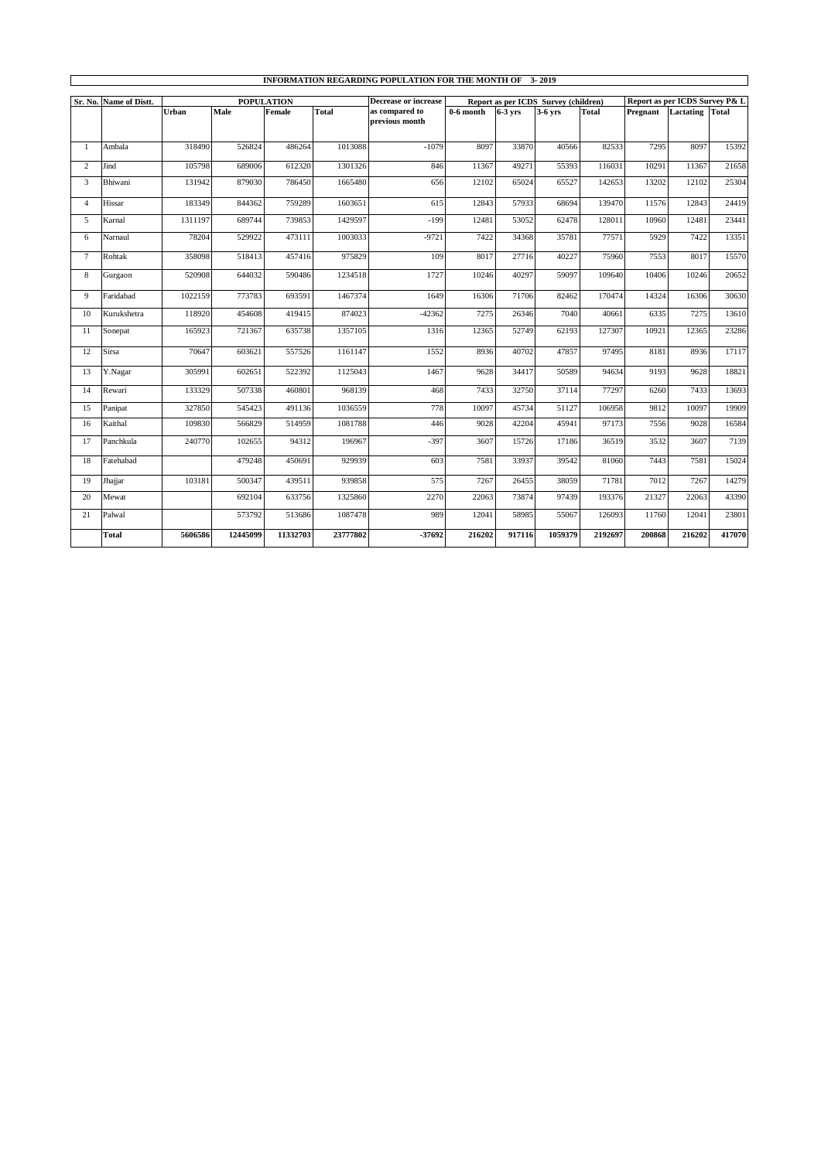|                |                        |         |          |                   |          | <b>INFORMATION REGARDING POPULATION FOR THE MONTH OF 3-2019</b> |             |           |                                      |         |                                |           |              |
|----------------|------------------------|---------|----------|-------------------|----------|-----------------------------------------------------------------|-------------|-----------|--------------------------------------|---------|--------------------------------|-----------|--------------|
|                | Sr. No. Name of Distt. |         |          | <b>POPULATION</b> |          | <b>Decrease or increase</b>                                     |             |           | Report as per ICDS Survey (children) |         | Report as per ICDS Survey P& L |           |              |
|                |                        | Urban   | Male     | Female            | Total    | as compared to                                                  | $0-6$ month | $6-3$ vrs | 3-6 yrs                              | Total   | Pregnant                       | Lactating | <b>Total</b> |
|                |                        |         |          |                   |          | previous month                                                  |             |           |                                      |         |                                |           |              |
| $\mathbf{1}$   | Ambala                 | 318490  | 526824   | 486264            | 1013088  | $-1079$                                                         | 8097        | 33870     | 40566                                | 82533   | 7295                           | 8097      | 15392        |
| $\overline{c}$ | Jind                   | 105798  | 689006   | 612320            | 1301326  | 846                                                             | 11367       | 49271     | 55393                                | 116031  | 10291                          | 11367     | 21658        |
| 3              | Bhiwani                | 131942  | 879030   | 786450            | 1665480  | 656                                                             | 12102       | 65024     | 65527                                | 142653  | 13202                          | 12102     | 25304        |
| $\overline{4}$ | Hissar                 | 183349  | 844362   | 759289            | 1603651  | 615                                                             | 12843       | 57933     | 68694                                | 139470  | 11576                          | 12843     | 24419        |
| 5              | Karnal                 | 1311197 | 689744   | 739853            | 1429597  | $-199$                                                          | 12481       | 53052     | 62478                                | 128011  | 10960                          | 12481     | 23441        |
| 6              | Narnaul                | 78204   | 529922   | 473111            | 1003033  | $-9721$                                                         | 7422        | 34368     | 35781                                | 77571   | 5929                           | 7422      | 13351        |
| $\tau$         | Rohtak                 | 358098  | 518413   | 457416            | 975829   | 109                                                             | 8017        | 27716     | 40227                                | 75960   | 7553                           | 8017      | 15570        |
| 8              | Gurgaon                | 520908  | 644032   | 590486            | 1234518  | 1727                                                            | 10246       | 40297     | 59097                                | 109640  | 10406                          | 10246     | 20652        |
| $\mathbf{Q}$   | Faridabad              | 1022159 | 773783   | 693591            | 1467374  | 1649                                                            | 16306       | 71706     | 82462                                | 170474  | 14324                          | 16306     | 30630        |
| 10             | Kurukshetra            | 118920  | 454608   | 419415            | 874023   | $-42362$                                                        | 7275        | 26346     | 7040                                 | 40661   | 6335                           | 7275      | 13610        |
| 11             | Sonepat                | 165923  | 721367   | 635738            | 1357105  | 1316                                                            | 12365       | 52749     | 62193                                | 127307  | 10921                          | 12365     | 23286        |
| 12             | <b>Sirsa</b>           | 70647   | 603621   | 557526            | 1161147  | 1552                                                            | 8936        | 40702     | 47857                                | 97495   | 8181                           | 8936      | 17117        |
| 13             | Y.Nagar                | 305991  | 602651   | 522392            | 1125043  | 1467                                                            | 9628        | 34417     | 50589                                | 94634   | 9193                           | 9628      | 18821        |
| 14             | Rewari                 | 133329  | 507338   | 460801            | 968139   | 468                                                             | 7433        | 32750     | 37114                                | 77297   | 6260                           | 7433      | 13693        |
| 15             | Panipat                | 327850  | 545423   | 491136            | 1036559  | 778                                                             | 10097       | 45734     | 51127                                | 106958  | 9812                           | 10097     | 19909        |
| 16             | Kaithal                | 109830  | 566829   | 514959            | 1081788  | 446                                                             | 9028        | 42204     | 45941                                | 97173   | 7556                           | 9028      | 16584        |
| 17             | Panchkula              | 240770  | 102655   | 94312             | 196967   | $-397$                                                          | 3607        | 15726     | 17186                                | 36519   | 3532                           | 3607      | 7139         |
| 18             | Fatehabad              |         | 479248   | 450691            | 929939   | 603                                                             | 7581        | 33937     | 39542                                | 81060   | 7443                           | 7581      | 15024        |
| 19             | Jhajjar                | 103181  | 500347   | 439511            | 939858   | 575                                                             | 7267        | 26455     | 38059                                | 71781   | 7012                           | 7267      | 14279        |
| 20             | Mewat                  |         | 692104   | 633756            | 1325860  | 2270                                                            | 22063       | 73874     | 97439                                | 193376  | 21327                          | 22063     | 43390        |
| 21             | Palwal                 |         | 573792   | 513686            | 1087478  | 989                                                             | 12041       | 58985     | 55067                                | 126093  | 11760                          | 12041     | 23801        |
|                | <b>Total</b>           | 5606586 | 12445099 | 11332703          | 23777802 | -37692                                                          | 216202      | 917116    | 1059379                              | 2192697 | 200868                         | 216202    | 417070       |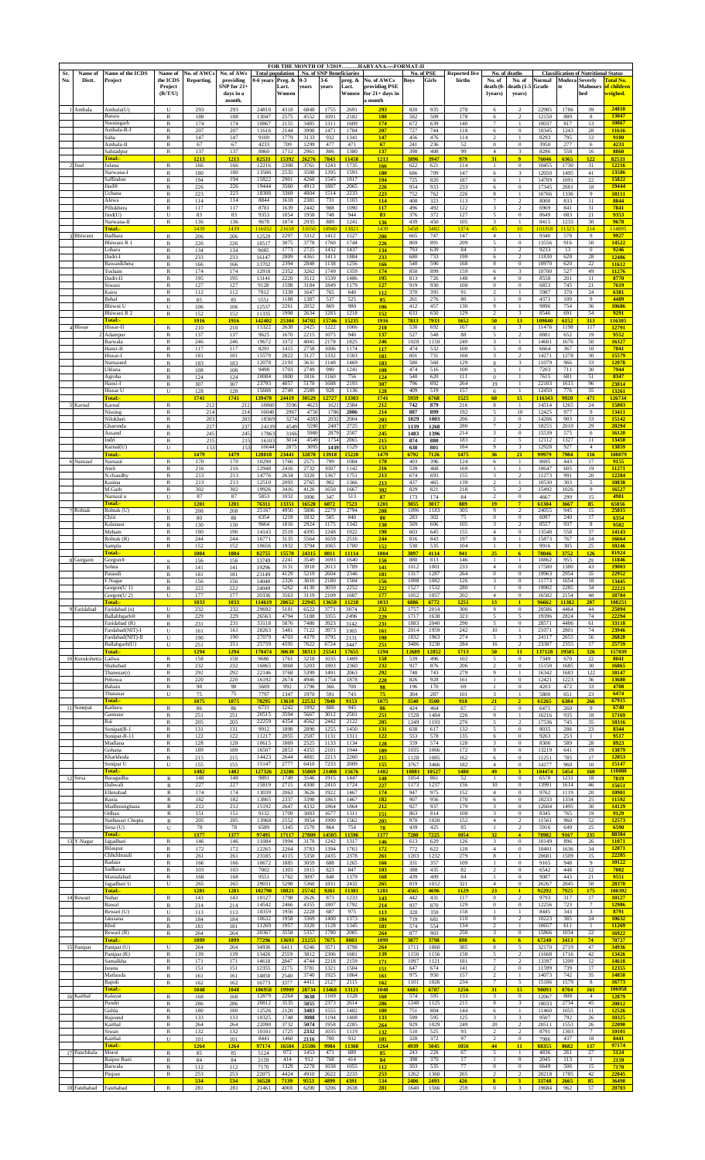| Sr.<br>No. | Name of<br>Distt. | Name of the ICDS<br>Project                                        | Name of<br>the ICDS<br>Project<br>(R/T/U)               | No. of AWCs<br><b>Reporting.</b> | No. of AWs<br>providing<br>$SNP$ for $21+$<br>days in a<br>month. | <b>Total population</b><br>0-6 years | Preg. &<br>Lact.<br>Women     | $0 - 3$<br>years                   | 3-6<br>years                  | <b>No. of SNP Beneficiaries</b><br>preg. &<br>Lact.<br>Women | FOR THE MONTH OF 3/2019HARYANA-FORMAT-II<br>No. of AWCs<br>providing PSE<br>for $21+$ days in<br>a month | Boys                                | No. of PSE<br>Girls         | <b>Reported live</b><br>births | No. of<br>death (0<br>1years)                                 | No. of deaths<br>No. of<br>$death(1-5)$<br>years)           | Normal<br>Grade                  | <b>Modera</b> Severly        | <b>Classification of Nutritional Status</b><br>Malnours<br>hed | fotal No.<br>of children<br>weighed. |
|------------|-------------------|--------------------------------------------------------------------|---------------------------------------------------------|----------------------------------|-------------------------------------------------------------------|--------------------------------------|-------------------------------|------------------------------------|-------------------------------|--------------------------------------------------------------|----------------------------------------------------------------------------------------------------------|-------------------------------------|-----------------------------|--------------------------------|---------------------------------------------------------------|-------------------------------------------------------------|----------------------------------|------------------------------|----------------------------------------------------------------|--------------------------------------|
|            | 1 Ambala          | Ambala(U)<br>Barara<br>Naraingarh<br>Ambala-R-I                    | U<br>R<br>R<br>R                                        | 293<br>188<br>174<br>207         | 293<br>188<br>174<br>207                                          | 24810<br>13047<br>10867<br>11616     | 4318<br>2575<br>2155<br>2144  | 6848<br>4552<br>3485<br>3998       | 1755<br>1091<br>1311<br>1471  | 2691<br>2182<br>1609<br>1784                                 | 293<br>188<br>174<br>207                                                                                 | 820<br>582<br>672<br>727            | 935<br>509<br>639<br>744    | 278<br>178<br>140<br>118       | $\sqrt{6}$<br>6<br>$\overline{7}$<br>6                        | $\mathfrak{D}$<br>$\overline{c}$<br>$\mathbf{1}$<br>$\,0\,$ | 22985<br>12150<br>10037<br>10345 | 1786<br>889<br>817<br>1243   | 39<br>8<br>13<br>28                                            | 24810<br>13047<br>10867<br>11616     |
|            |                   | Saha<br>Ambala-II<br>Sahzadpur                                     | R<br>R<br>$\mathbb{R}$                                  | 147<br>67<br>137                 | 147<br>67<br>137                                                  | 9100<br>4233<br>8860                 | 1779<br>709<br>1712           | 3133<br>1299<br>2961               | 932<br>477<br>806             | 1341<br>471<br>1380                                          | 147<br>67<br>137                                                                                         | 456<br>241<br>398                   | 476<br>236<br>408           | 114<br>52<br>99                | $\mathcal{L}$<br>$\bf{0}$<br>$\overline{4}$                   | $\boldsymbol{0}$<br>3                                       | 8293<br>3950<br>8286             | 795<br>277<br>558            | 12<br>6<br>16                                                  | 9100<br>4233<br>8860                 |
|            | 2 Jind            | Fotal:-<br>Julana<br>Narwana-I                                     | R<br>$\mathbb{R}$                                       | 1213<br>166<br>180               | 1213<br>166<br>180                                                | 82533<br>12216<br>13586              | 15392<br>2308<br>2535         | 26276<br>3761<br>3588              | 7843<br>1243<br>1395          | 11458<br>1735<br>1593                                        | 1213<br>166<br>180                                                                                       | 3896<br>622<br>686                  | 3947<br>621<br>709          | 979<br>114<br>147              | 31<br>1<br>6                                                  | 9 <sup>°</sup><br>$\bf{0}$<br>3                             | 76046<br>10455<br>12050          | 6365<br>1730<br>1495         | 122<br>31<br>41                                                | 82533<br>12216<br>13586              |
|            |                   | Saffindon<br><b>Find®</b><br>Jehana                                | R<br>R<br>R                                             | 194<br>226<br>223                | 194<br>226<br>223                                                 | 15822<br>19444<br>18308              | 2901<br>3560<br>3369          | 4268<br>4913<br>4804               | 1545<br>1887<br>1514          | 1817<br>2065<br>2233                                         | 194<br>226<br>223                                                                                        | 725<br>954                          | 820<br>933                  | 187<br>233<br>226              | 6<br>6                                                        | $\mathbf{1}$<br>$\,0\,$                                     | 14709<br>17345                   | 1091<br>2081                 | 22<br>18<br>9                                                  | 15822<br>19444<br>18111              |
|            |                   | Alewa<br>Pillukhera                                                | R<br>R                                                  | 114<br>117                       | 114<br>117                                                        | 8844<br>8781                         | 1618<br>1639                  | 2381<br>2442                       | 731<br>988                    | 1103<br>1090                                                 | 114<br>117                                                                                               | 752<br>408<br>496                   | 762<br>323<br>492           | 113<br>122                     | 8<br>$\overline{7}$<br>3                                      | $\mathbf{1}$<br>$\overline{c}$<br>$\overline{\mathbf{c}}$   | 16766<br>8000<br>6969            | 1336<br>833<br>841           | 11<br>31                                                       | 8844<br>7841                         |
|            |                   | (ind(U)<br>Narwana-II<br>Total:-                                   | U<br>R                                                  | 83<br>136<br>1439                | 83<br>136<br>1439                                                 | 9353<br>9678<br>116032               | 1854<br>1874<br>21658         | 1958<br>2935<br>31050              | 748<br>889<br>0940            | 944<br>1241<br>13821                                         | 83<br>136<br>1439                                                                                        | 376<br>439<br>5458                  | 372<br>450<br>5482          | 127<br>105<br>1374             | 5<br>3<br>45                                                  | $\boldsymbol{0}$<br>$\mathbf{1}$<br>10 <sup>°</sup>         | 8649<br>8415<br>103358           | 683<br>1233<br>11323         | 21<br>30<br>214                                                | 9353<br>9678<br>114895               |
|            | 3 Bhiwani         | Badhara<br>Bhiwani R 1<br>Loharu                                   | $\mathbb{R}$<br>R<br>R                                  | 206<br>226<br>134                | 206<br>226<br>134                                                 | 12529<br>18517<br>9085               | 2297<br>3075<br>1773          | 3312<br>3778<br>2725               | 1412<br>1760<br>1432          | 1527<br>1744<br>1437                                         | 206<br>226<br>134                                                                                        | 665<br>869<br>793                   | 747<br>891<br>639           | 147<br>209<br>84               | $\overline{4}$<br>$\sqrt{5}$<br>3                             | $\mathbf{1}$<br>$\bf{0}$<br>$\overline{c}$                  | 9340<br>13556<br>9233            | 578<br>916<br>13             | 9<br>50<br>$\bf{0}$                                            | 9927<br>14522<br>9246                |
|            |                   | Dadri-I<br>Bawanikhera<br>Tosham                                   | R<br>R<br>R                                             | 233<br>166<br>174                | 233<br>166<br>174                                                 | 16147<br>13702<br>12918              | 2809<br>2394<br>2352          | 4361<br>2848<br>3262               | 1413<br>1138<br>1749          | 1884<br>1256<br>1359                                         | 233<br>166<br>174                                                                                        | 680<br>548<br>850                   | 733<br>590<br>899           | 199<br>168<br>159              | 6<br>8<br>6                                                   | $\overline{c}$<br>$\boldsymbol{0}$<br>3                     | 11830<br>10970<br>10700          | 628<br>620<br>527            | 28<br>22<br>49                                                 | 12486<br>11612<br>11276              |
|            |                   | Dadri-II<br>Siwani                                                 | R<br>R<br>R                                             | 195<br>127<br>112                | 195<br>127<br>112                                                 | 13141<br>9128<br>7812                | 2220<br>1598<br>1339          | 3512<br>3184<br>1647               | 1539<br>1849<br>765           | 1486<br>1179<br>640                                          | 195<br>127<br>112                                                                                        | 813<br>919<br>370                   | 726<br>930<br>395           | 148<br>108<br>91               | $\overline{4}$<br>$\theta$<br>$\overline{\mathcal{L}}$        | $\bf{0}$<br>$\bf{0}$<br>$\mathbf{1}$                        | 8558<br>6853<br>5987             | 201<br>745<br>370            | 11<br>21<br>24                                                 | 8770<br>7619<br>6381                 |
|            |                   | Kairu<br>Behal<br>Bhiwni U                                         | R<br>U                                                  | 85<br>106                        | 85<br>106                                                         | 5551<br>12537                        | 1188<br>2261                  | 1387<br>2052                       | 537<br>869                    | 525<br>980                                                   | 85<br>106                                                                                                | 261<br>412                          | 276<br>457                  | $80\,$<br>130                  | $\mathbf{1}$<br>9                                             | $\boldsymbol{0}$<br>$\,1\,$                                 | 4371<br>9896                     | 109<br>754                   | $\overline{9}$<br>36                                           | 4489<br>10686                        |
|            | 4 Hissar          | Bhiwani R 2<br>Total:-<br>Hissar-II                                | $\mathbb{R}$<br>$\mathbb R$                             | 152<br>1916<br>210               | 152<br>1916<br>210                                                | 11335<br>142402<br>15322             | 1998<br>25304<br>2638         | 2634<br>34702<br>2425              | 1283<br>15746<br>1222         | 1218<br>15235<br>1066                                        | 152<br>1916<br>210                                                                                       | 633<br>7813<br>530                  | 650<br>7933<br>692          | 129<br>1652<br>167             | $\overline{c}$<br>50<br>8                                     | $\sqrt{3}$<br>13<br>$\sqrt{3}$                              | 8546<br>109840<br>11476          | 691<br>6152<br>1198          | 54<br>313<br>117                                               | 9291<br>116305<br>12791              |
|            |                   | Adampur<br>Barwala<br>Hansi-II                                     | $\mathbb{R}$<br>$\mathbb{R}$<br>$\mathbb{R}$            | 137<br>246<br>117                | 137<br>246<br>117                                                 | 9625<br>19672<br>8291                | 1670<br>3372<br>1415          | 2215<br>4041<br>2758               | 1075<br>2178<br>1006          | 940<br>1825<br>1174                                          | 137<br>246<br>117                                                                                        | 527<br>1028<br>474                  | 548<br>1150<br>532          | 88<br>249<br>100               | 5<br>$\overline{\mathbf{3}}$<br>5                             | $\overline{c}$<br>$\mathbf{1}$<br>$\boldsymbol{0}$          | 8881<br>14601<br>6664            | 652<br>1676<br>367           | 19<br>50<br>10                                                 | 9552<br>16327<br>7041                |
|            |                   | Hissar-I<br>Narnaund<br>Uklana                                     | R<br>$\mathbb{R}$<br>R                                  | 181<br>183<br>108                | 181<br>183<br>108                                                 | 15579<br>12078<br>9498               | 2822<br>2193<br>1703          | 3127<br>3631<br>2749               | 1332<br>1148<br>990           | 1503<br>1469<br>1241                                         | 181<br>183<br><b>108</b>                                                                                 | 601<br>580<br>474                   | 731<br>568<br>516           | 160<br>129<br>100              | 3<br>$\bf8$<br>3                                              | $\overline{c}$<br>3<br>$\,1\,$                              | 14271<br>11079<br>7203           | 1278<br>966<br>711           | 30<br>33<br>30                                                 | 15579<br>12078<br>7944               |
|            |                   | Agroha<br>Hansi-l<br>Hissar U                                      | R<br>R                                                  | 124<br>307                       | 124<br>307                                                        | 10004<br>23793<br>15608              | 1800<br>4057<br>2749          | 1816<br>5178<br>2589               | 1160<br>1688                  | 756<br>2193<br>1136                                          | 124<br>307                                                                                               | 540<br>796<br>409                   | 620<br>892<br>519           | 111<br>264<br>157              | $\boldsymbol{0}$<br>19                                        | $\mathbf{1}$<br>$\mathbf{1}$                                | 7615<br>22103<br>12450           | 681<br>1615<br>776           | 51<br>96<br>35                                                 | 8347<br>23814                        |
|            | 5 Karnal          | Total:-<br>Karnal                                                  | U<br>R                                                  | 128<br>1741<br>212               | 128<br>1741<br>212                                                | 139470<br>18860                      | 24419<br>3596                 | 30529<br>4623                      | 928<br>2727<br>1621           | 13303<br>2384                                                | 128<br>1741<br>212                                                                                       | 5959<br>742                         | 6768<br>879                 | 1525<br>216                    | 6<br>60<br>8                                                  | $\mathbf{1}$<br>15<br>$\mathbf{1}$                          | 116343<br>14514                  | 9920<br>1265                 | 471<br>24                                                      | 13261<br>126734<br>15803             |
|            |                   | Nissing<br>Nilokheri<br>Gharonda                                   | R<br>R<br>R                                             | 214<br>203<br>237                | 214<br>203<br>237                                                 | 16040<br>18369<br>24139              | 2967<br>3274<br>4549          | 4750<br>4283<br>5590               | 1786<br>2032<br>2407          | 2006<br>2004<br>2725                                         | 214<br>203<br>237                                                                                        | 887<br>1029<br>1139                 | 899<br>1003<br>1268         | 192<br>206<br>280              | 5<br>$\overline{2}$<br>$\tau$                                 | 10<br>$\bf{0}$<br>$\overline{c}$                            | 12425<br>14206<br>18255          | 977<br>903<br>2010           | 9<br>33<br>29                                                  | 13411<br>15142<br>20294              |
|            |                   | Assand<br>Indri<br>Karnal(U)                                       | R<br>R<br>U                                             | 245<br>215<br>153                | 245<br>215<br>153                                                 | 17863<br>16103<br>16644              | 3166<br>3014<br>2875          | 5980<br>4549<br>3095               | 2879<br>1754<br>1439          | 2507<br>2065<br>1529                                         | 245<br>215<br>153                                                                                        | 1483<br>874<br>638                  | 1396<br>880<br>801          | 214<br>183<br>184              | 3<br>$\overline{c}$<br>$\mathbf{Q}$                           | $\bf{0}$<br>5<br>3                                          | 15539<br>12112<br>12928          | 575<br>1327<br>927           | 6<br>11<br>$\overline{4}$                                      | 16120<br>13450<br>13859              |
|            | 6 Narnaul         | Total:-<br>Narnaul<br>Ateli                                        | $\overline{\mathbf{R}}$<br>R                            | 1479<br>170<br>216               | 1479<br>170<br>216                                                | 128018<br>10298<br>12948             | 23441<br>1760<br>2416         | 32870<br>2571<br>2732              | 3918<br>799<br>1007           | 15220<br>1084<br>1142                                        | 1479<br>170<br>216                                                                                       | 6792<br>403<br>539                  | 7126<br>396<br>468          | 1475<br>124<br>169             | 36<br>6<br>$\mathbf{1}$                                       | 21<br>$\mathbf{1}$<br>$\mathbf{1}$                          | 99979<br>8695<br>10647           | 7984<br>443<br>605           | 116<br>17<br>19                                                | 108079<br>9155<br>11271              |
|            |                   | N.chaudhy<br>Kanina                                                | R<br>R                                                  | 213<br>213                       | 213<br>213                                                        | 14776<br>12510                       | 2634<br>2093                  | 3320<br>2765                       | 1367<br>902                   | 1751<br>1366                                                 | 213<br>213                                                                                               | 674<br>437                          | 693<br>465                  | 155<br>139                     | $\overline{\mathbf{3}}$<br>$\overline{2}$<br>5                | $\,2\,$<br>$\,$ 1<br>$\sqrt{2}$                             | 11273<br>10530                   | 991<br>303                   | $20\,$<br>5                                                    | 12284<br>10838<br>16527              |
|            |                   | M.Garh<br>Narnaul u<br>Total:                                      | $\mathbb{R}$<br>U                                       | 302<br>87<br>1201                | 302<br>87<br>1201                                                 | 19926<br>5853<br>76311               | 3416<br>1032<br>13351         | 4126<br>1006<br>16520              | 1650<br>347<br>6072           | 1667<br>513<br>7523                                          | 302<br>87<br>1201                                                                                        | 829<br>173<br>3055                  | 821<br>174<br>3017          | 218<br>84<br>889               | $\overline{c}$<br>19                                          | $\,0\,$<br>$\overline{7}$                                   | 15492<br>4667<br>61304           | 1026<br>299<br>3667          | 9<br>15<br>85                                                  | 4981<br>65056                        |
|            | 7 Rohtak          | Rohtak (U)<br>Chiri<br>Kalanaur                                    | U<br>R<br>$\mathbb{R}$                                  | 208<br>80<br>130                 | 208<br>80<br>130                                                  | 25167<br>6354<br>9664                | 4950<br>1218<br>1816          | 5806<br>1832<br>2924               | 2279<br>585<br>1175           | 2794<br>840<br>1342                                          | 208<br>80<br>130                                                                                         | 1096<br>283<br>569                  | 1183<br>302<br>606          | 305<br>75<br>105               | 9<br>$\boldsymbol{0}$<br>3                                    | $\overline{c}$<br>$\boldsymbol{0}$<br>$\overline{c}$        | 24055<br>6097<br>8557            | 945<br>240<br>937            | 15<br>17<br>8                                                  | 25015<br>6354<br>9502                |
|            |                   | Meham<br>Rohtak (R<br>Sampla                                       | R<br>R<br>R                                             | 190<br>244<br>152                | 190<br>244<br>152                                                 | 14143<br>16771<br>10656              | 2519<br>3135<br>1932          | 4395<br>5564<br>3794               | 1248<br>1659<br>1065          | 1922<br>2516<br>1700                                         | 190<br>244<br>152                                                                                        | 603<br>816<br>530                   | 645<br>843<br>535           | 155<br>197<br>104              | $\overline{4}$<br>8                                           | $\bf{0}$<br>$\mathbf{1}$<br>$\mathbf{1}$                    | 13548<br>15873<br>9916           | 558<br>767<br>305            | 37<br>24<br>25                                                 | 14143<br>16664<br>10246              |
|            | 8 Gurgaon         | <u> Fotal:-</u><br>Gorgon®<br>Sohna                                | $\mathbf u$<br>R                                        | <b>1004</b><br>156<br>141        | 1004<br>156<br>141                                                | 82755<br>13749<br>19296              | 15570<br>2241<br>3131         | 24315<br>3549<br>3918              | 8011<br>1693<br>2013          | 11114<br>1640<br>1789                                        | 1004<br>156<br><u>141</u>                                                                                | 3897<br>880<br>1012                 | 4114<br>813<br>1001         | 941<br>146<br>233              | 25<br>1<br>$\overline{4}$                                     | 6 <sup>1</sup><br>1<br>$\boldsymbol{0}$                     | 78046<br>10862<br>17580          | 3752<br>955<br>1380          | 126<br>29<br>43                                                | 81924<br>11846<br>19003              |
|            |                   | Pataudi<br>F.Nagai                                                 | R                                                       | 181<br>156                       | 181<br>156                                                        | 23149<br>14040                       | 4129<br>2326                  | 5219<br>3010                       | 2604<br>2180                  | 2346<br>1504                                                 | 181<br>156                                                                                               | 1317<br>1098                        | 1287<br>1082                | 264<br>126                     | $\boldsymbol{0}$                                              | $\boldsymbol{0}$                                            | 19963<br>11773                   | 2954<br>1654                 | 35                                                             | 22952<br>13445                       |
|            |                   | Gorgon(U <sub>1)</sub><br>Gorgon(U <sub>2</sub> )<br><b>Total:</b> | R<br>U                                                  | 222<br>177<br>1033               | 222<br>177<br>1033                                                | 24049<br>20336<br>114619             | 5262<br>3563<br>20652         | 4130<br>3119<br>22945              | 3059<br>2109<br>13658         | 2252<br>1687<br>11218                                        | 222<br>177<br>1033                                                                                       | 1527<br>1052<br>6886                | 1532<br>1057<br>6772        | 280<br>202<br>1251             | $\mathbf{1}$<br>$\overline{4}$<br>13                          | $\boldsymbol{0}$<br>0                                       | 19902<br>16582<br>96662          | 2285<br>2154<br>11382        | 34<br>48<br>207                                                | 22221<br>18784<br>108251             |
|            | 9 Faridabad       | Faridabad (o)<br>Ballabhgarh®<br>Faridabad (R)                     | U<br>R<br>R                                             | 232<br>229<br>231                | 232<br>229<br>231                                                 | 29692<br>26563<br>33118              | 5181<br>4794<br>5876          | 6522<br>5188<br>7480               | 3771<br>3355<br>3923          | 3074<br>2496<br>3142                                         | 232<br>229<br>231                                                                                        | 1757<br>1717<br>1883                | 2014<br>1638<br>2040        | 300<br>323<br>290              | 9<br>5<br>5                                                   | $\boldsymbol{0}$<br>5<br>$\bf{0}$                           | 20586<br>19396<br>28571          | 4464<br>2824<br>4486         | 44<br>74<br>61                                                 | 25094<br>22294<br>33118              |
|            |                   | Fardabad(NIT)-<br>Fardabad(NIT)-II<br>Ballabgarh(U)                | U<br>U<br>${\bf U}$                                     | 161<br>190<br>251                | 161<br>190<br>251                                                 | 28263<br>27079<br>25759              | 5481<br>4703<br>4595          | 7122<br>4379<br>7622               | 3973<br>3795<br>6724          | 3365<br>2131<br>3447                                         | 161<br>190<br>251                                                                                        | 2014<br>1832<br>3486                | 1959<br>1963<br>3238        | 242<br>274<br>284              | 10<br>5<br>16                                                 | $\mathbf{1}$<br>3<br>$\overline{c}$                         | 21071<br>24117<br>23387          | 2801<br>2655<br>2355         | 74<br>56<br>17                                                 | 23946<br>26828<br>25759              |
|            | 10 Kurukshetra    | Total:<br>Ladwa<br>Shahabad                                        | $\mathbb R$<br>$\mathbb{R}$                             | 1294<br>158<br>232               | 1294<br>158<br>232                                                | 170474<br>9686                       | 30630<br>1761                 | 38313<br>3218                      | 25541<br>1035<br>1803         | 17655<br>1409                                                | 1294<br>158<br>232                                                                                       | <u> 12689</u><br>539<br>927         | 2852<br>496                 | 1713<br>102                    | 50<br>$\sqrt{5}$<br>$\overline{2}$                            | $\overline{11}$<br>$\boldsymbol{0}$<br>$\boldsymbol{0}$     | 37128<br>7349<br>15150           | 19585<br>670                 | 326<br>22<br>30                                                | 157039<br>8041<br>16865              |
|            |                   | Thanesar(1<br>Pehowa                                               | $\mathbb{R}$<br>$\mathbb R$                             | 292<br>220                       | 292<br>220                                                        | 16865<br>22146<br>16192              | 3068<br>3768<br>2674          | 5203<br>5399<br>4946               | 1491<br>1754                  | 2360<br>2063<br>1878                                         | 292<br>220                                                                                               | 748<br>826                          | 876<br>743<br>928           | 206<br>279<br>161              | $\overline{9}$                                                | $\mathbf{1}$<br>$\,0\,$                                     | 16342<br>12421                   | 1685<br>1683<br>1223         | 122<br>36                                                      | 18147<br>13680                       |
|            |                   | Babain<br>Thanasar<br><b>Total:</b>                                | R<br>U                                                  | 98<br>75<br>1075                 | 98<br>75<br>1075                                                  | 5609<br>7797<br>78295                | 992<br>1347<br>13610          | 1796<br>1970<br>22532              | 366<br>591<br>7040            | 700<br>743<br>9153                                           | 98<br>75<br>1075                                                                                         | 196<br>304<br>3540                  | 170<br>287<br>3500          | 69<br>101<br>918               | $\mathbf{1}$<br>3<br>21                                       | $\boldsymbol{0}$<br>$\mathbf{1}$<br>$\overline{2}$          | 4203<br>5800<br>61265            | 472<br>651<br>6384           | 33<br>23<br>266                                                | 4708<br>6474<br>67915                |
|            | 11 Sonepat        | Kathura<br>Gannaur<br>Rai                                          | $\mathbb R$<br>$\mathbb{R}$<br>R                        | 86<br>251<br>205                 | 86<br>251<br>205                                                  | 6731<br>20515<br>22259               | 1242<br>3594<br>4354          | 1992<br>5667<br>4562               | 888<br>3012<br>2442           | 945<br>2501<br>2122                                          | 86<br>251<br>205                                                                                         | 424<br>1528<br>1249                 | 464<br>1484<br>1193         | 67<br>226<br>276               | $\overline{\mathbf{c}}$<br>9<br>$\sqrt{5}$                    | $\boldsymbol{0}$<br>$\,1\,$<br>$\,2$                        | 6471<br>16216<br>17536           | 260<br>935<br>745            | 9<br>18<br>35                                                  | 6740<br>17169<br>18316               |
|            |                   | Sonipat(R-1<br>Sonipat-R-11<br>Mudlana                             | R<br>R<br>R                                             | 131<br>122<br>128                | 131<br>122<br>128                                                 | 9912<br>11217<br>10615               | 1898<br>2055<br>1869          | 2890<br>2587<br>2525               | 1255<br>1131<br>1133          | 1450<br>1311<br>1134                                         | 131<br>122<br>128                                                                                        | 638<br>553<br>559                   | 617<br>578<br>574           | 132<br>135<br>128              | 5<br>6<br>3                                                   | $\boldsymbol{0}$<br>$\boldsymbol{0}$<br>$\boldsymbol{0}$    | 8035<br>9263<br>8306             | 286<br>253<br>589            | 23<br>$\mathbf{1}$<br>$\sqrt{28}$                              | 8344<br>9517<br>8923                 |
|            |                   | Gohana<br>Kharkhoda<br>Sonipat U                                   | R<br>R<br>U                                             | 189<br>215<br>155                | 189<br>215<br>155                                                 | 16507<br>14423<br>15147              | 2853<br>2644<br>2777          | 4355<br>4881<br>6410               | 2101<br>2213<br>7233          | 1944<br>2260<br>2009                                         | <b>189</b><br>215<br>155                                                                                 | 1035<br>1128<br>3767                | 1066<br>1085<br>3466        | 172<br>162<br>182              | $\overline{9}$<br>6<br>$\overline{4}$                         | $\bf{0}$<br>$\bf{0}$<br>$\boldsymbol{0}$                    | 13219<br>11251<br>14177          | 641<br>785<br>960            | 19<br>17<br>10                                                 | 13879<br>12053<br>15147              |
|            | 12 Sirsa          | Total:<br>Baragudh<br>Dabwali<br>Ellenabac                         | $\mathbb R$<br>$\mathbb{R}$<br>$\mathbb{R}$             | 1482<br>148<br>227<br>174        | 1482<br>148<br>227<br>174                                         | 127326<br>9891<br>15819<br>13039     | 23286<br>1749<br>2715<br>2063 | 35869<br>3546<br>4300<br>3626      | 21408<br>1915<br>2410<br>1922 | 15676<br>1447<br>1724<br>1467                                | 1482<br>148<br>227                                                                                       | <b>10881</b><br>1054<br>1173<br>947 | 10527<br>861<br>1237<br>975 | 1480<br>52<br>156<br>152       | 49<br>10<br>$\overline{4}$                                    | 3.<br>$\bf{0}$<br>$\boldsymbol{0}$<br>$\bf{0}$              | 104474<br>6570<br>13991<br>9762  | 5454<br>1231<br>1614<br>1119 | 160<br>18<br>46<br>20                                          | 110088<br>7819<br>15651<br>10901     |
|            |                   | Rania<br>Madhosinghana                                             | $\mathbb{R}$<br>$\mathbb{R}$                            | 182<br>212                       | 182<br>212                                                        | 13865<br>15192                       | 2337<br>2647                  | 3398<br>4332                       | 1863<br>1864                  | 1467<br>1864                                                 | 174<br>182<br>212                                                                                        | 907<br>927                          | 956<br>937                  | 170<br>179                     | 6<br>3                                                        | $\bf{0}$<br>$\bf{0}$                                        | 10233<br>12604                   | 1334<br>1495                 | 25<br>30                                                       | 11592<br>14129                       |
|            |                   | Odhan<br>Nathusari Chopta<br>Sirsa (U                              | ${\mathbb R}$<br>$\mathbb R$<br>${\bf U}$               | 151<br>205<br>78                 | 151<br>205<br>78                                                  | 9132<br>13968<br>6589                | 1709<br>2552<br>1345          | 3083<br>3954<br>1570               | 1677<br>1990<br>864           | 1311<br>1562<br>754                                          | 151<br>205<br>78                                                                                         | 863<br>970<br>439                   | 814<br>1020<br>425          | 108<br>152<br>85               | 3<br>$\overline{4}$                                           | $\bf{0}$<br>$\overline{c}$<br>$\,2$                         | 8345<br>11561<br>5916            | 765<br>960<br>649            | 19<br>52<br>25                                                 | 9129<br>12573<br>6590                |
|            | 13 Y.Nagar        | Total:<br>Jagadhari<br>Bilaspur                                    | $\mathbb R$<br>R                                        | 1377<br>146<br>172               | 1377<br>146<br>172                                                | 97495<br>11084<br>12265              | 17117<br>1994<br>2264         | <mark>27809</mark><br>3178<br>3783 | 14505<br>1242<br>1394         | 11596<br>1317<br>1763                                        | 1377<br>146<br>172                                                                                       | 7280<br>613<br>772                  | 7225<br>629<br>622          | 1054<br>126<br>128             | 32<br>$\overline{3}$<br>$\overline{4}$                        | $\overline{4}$<br>$\boldsymbol{0}$<br>$\boldsymbol{0}$      | 78982<br>10149<br>10401          | 9167<br>896<br>1636          | 235<br>26<br>34                                                | 88384<br>11071<br>12071              |
|            |                   | Chhchhrauli<br>Radaur<br>Sadhaura                                  | $\mathbb{R}$<br>$\mathbb{R}$<br>$\mathbb{R}$            | 261<br>166<br>103                | 261<br>166<br>103                                                 | 23185<br>10672<br>7002               | 4315<br>1885<br>1303          | 5350<br>3059<br>1915               | 2435<br>688<br>823            | 2378<br>1265<br>847                                          | 261<br>166<br>103                                                                                        | 1203<br>331<br>388                  | 1232<br>357<br>435          | 279<br>109<br>82               | 8<br>$\overline{2}$                                           | $\mathbf{1}$<br>$\boldsymbol{0}$<br>$\bf{0}$                | 20681<br>9165<br>6542            | 1509<br>948<br>448           | 15<br>$\overline{9}$<br>12                                     | 22205<br>10122<br>7002               |
|            |                   | Mustafabad<br>Jagadhari U<br>Total:                                | R<br>U                                                  | 168<br>265<br>1281               | 168<br>265<br>1281                                                | 9551<br>29031<br>102790              | 1762<br>5298<br>18821         | 3097<br>5360<br>25742              | 848<br>1831<br>9261           | 1379<br>2432<br>11381                                        | 168<br>265<br>1281                                                                                       | 439<br>819<br>4565                  | 409<br>1012<br>4696         | 84<br>321<br>1129              | $\mathbf{1}$<br>$\overline{4}$<br>23                          | $\boldsymbol{0}$<br>$\boldsymbol{0}$<br>$\mathbf{1}$        | 9087<br>26267<br>92292           | 443<br>2045<br>7925          | 21<br>58<br>175                                                | 9551<br>28370<br>100392              |
|            | 14 Rewari         | Nahar<br>Bawal                                                     | $\mathbb R$<br>R                                        | 143<br>214                       | 143<br>214                                                        | 10127<br>14542<br>10359              | 1798<br>2466<br>1956          | 2626<br>4355<br>2228               | 873<br>1807<br>687            | 1233<br>1792<br>975                                          | 143<br>214                                                                                               | 442<br>937                          | 431<br>870                  | 117<br>129                     | $\bf{0}$<br>$\boldsymbol{0}$                                  | $\overline{c}$<br>$\boldsymbol{0}$<br>$\,1\,$               | 9793<br>12256<br>8445            | 317<br>723<br>343            | 17<br>$\tau$<br>3                                              | 10127<br>12986                       |
|            |                   | Rewari (U)<br>Jatusana<br>Khol                                     | U<br>R<br>R                                             | 113<br>184<br>181                | 113<br>184<br>181                                                 | 10632<br>11269                       | 1958<br>1957                  | 3369<br>3320                       | 1400<br>1128                  | 1373<br>1345                                                 | 113<br>184<br>181                                                                                        | 328<br>719<br>574                   | 359<br>681<br>554           | 158<br>110<br>134              | $\boldsymbol{0}$<br>$\overline{2}$                            | $\,2$<br>$\mathbf{1}$                                       | 10223<br>10657                   | 385<br>611                   | $24\,$<br>$\mathbf{1}$                                         | 8791<br>10632<br>11269               |
|            | 15 Panipat        | Rewari (R)<br>Total:<br>Panipat (U)                                | R<br>U                                                  | 264<br>1099<br>264               | 264<br>1099<br>264                                                | 20367<br>77296<br>34936              | 3558<br>13693<br>6411         | 5357<br>21255<br>8246              | 1780<br>7675<br>3571          | 2085<br>8803<br>3798                                         | 264<br><u> 1099</u><br>264                                                                               | 877<br>3877<br>1711                 | 903<br>3798<br>1860         | 250<br>898<br>385              | $\sqrt{3}$<br>$6\phantom{.}6$<br>$\,$ 8 $\,$                  | $\boldsymbol{0}$<br>6 <sup>1</sup><br>5                     | 15866<br>67240<br>32170          | 1034<br>3413<br>2719         | 22<br>74<br>47                                                 | 16922<br>70727<br>34936              |
|            |                   | Panipat (R)<br>Samalkha<br>srana                                   | R<br>R<br>R                                             | 139<br>171<br>151                | 139<br>171<br>151                                                 | 13426<br>14618<br>12355              | 2559<br>2847<br>2175          | 3812<br>4744<br>3781               | 2306<br>2218<br>1321          | 1681<br>2159<br>1504                                         | 139<br>171<br>151                                                                                        | 1150<br>1097<br>647                 | 1156<br>1121<br>674         | 158<br>181<br>141              | 5<br>$\tau$<br>$\overline{c}$                                 | $\overline{c}$<br>$\overline{c}$<br>$\bf{0}$                | 11668<br>13397<br>11599          | 1716<br>1209<br>739          | 42<br>12<br>17                                                 | 13426<br>14618<br>12355              |
|            |                   | Matlauda<br>Bapoli<br>Total:                                       | R<br>$\overline{\mathbf{R}}$                            | 161<br>162<br>1048               | 161<br>162<br>1048                                                | 14850<br>16773<br>106958             | 2540<br>3377<br>19909         | 3740<br>4411<br>28734              | 1925<br>2127<br>13468         | 1864<br>2115<br>13121                                        | 161<br>162<br>1048                                                                                       | 975<br>1101<br>6681                 | 950<br>1026<br>6787         | 157<br>234<br>1256             | $\overline{c}$<br>$\overline{7}$<br>31                        | $\mathbf{1}$<br>5<br>15                                     | 14073<br>15186<br>98093          | 742<br>1579<br>8704          | 35<br>8<br>161                                                 | 14850<br>16773<br>106958             |
|            | 16 Kaithal        | Kalayat<br>Pundri                                                  | $\mathbb R$<br>$\overline{\mathbf{R}}$<br>${\mathbb R}$ | 168<br>286                       | 168<br>286<br>180                                                 | 12879<br>20812<br>12526              | 2264<br>3535<br>2120          | 3638<br>5855<br>3483               | 1169<br>2373<br>1555          | 1528<br>2614<br>1482                                         | 168<br>286<br>180                                                                                        | 574<br>1248<br>751                  | 595<br>1125<br>804          | 133<br>215<br>144              | 3<br>$\,$ 8 $\,$<br>$\,$ 6 $\,$                               | $\boldsymbol{0}$<br>$\sqrt{3}$<br>$1\,$                     | 12067<br>18033<br>11460          | 808<br>2734<br>1055          | $\overline{4}$<br>45<br>$1\,1$                                 | 12879<br>20812<br>12526              |
|            |                   | Guhla<br>Rajound<br>Kaithal                                        | R<br>$\mathbb R$                                        | 180<br>133<br>264                | 133<br>264                                                        | 10325<br>22090                       | 1748<br>3732                  | 3088<br>5074                       | 1194<br>1958                  | 1408<br>2285                                                 | 133<br>264                                                                                               | 599<br>929                          | 595<br>1029                 | 125<br>249                     | $\boldsymbol{\mathsf{3}}$<br>$20\,$                           | $\ensuremath{\mathbf{3}}$<br>$\overline{2}$                 | 9507<br>20511                    | 792<br>1553                  | 26<br>26                                                       | 10325<br>22090                       |
|            |                   | Siwan<br>Kaithal<br>Total:                                         | $\mathbb{R}$<br>U                                       | 132<br>101<br>1264               | 132<br>101<br>1264                                                | 10101<br>8441<br>97174               | 1725<br>1460<br>16584         | 2332<br>2116<br>25586              | 1035<br>700<br>9984           | 1119<br>932<br>11368                                         | 132<br>101<br>1264                                                                                       | 510<br>328<br>4939                  | 525<br>372<br>5045          | 93<br>97<br>1056               | $\overline{2}$<br>$\overline{2}$<br>44                        | $\overline{2}$<br>$\boldsymbol{0}$<br>$\overline{11}$       | 8791<br>7986<br>88355            | 1303<br>437<br>8682          | $\overline{7}$<br>18<br>137                                    | 10101<br>8441<br>97174               |
|            | 17 Panchkula      | Morni<br>Raipur Rani<br>Barwala                                    | R<br>R<br>$\mathbb{R}$                                  | 85<br>84<br>112                  | 85<br>84<br>112                                                   | 5124<br>2159<br>7170                 | 972<br>414<br>1329            | 1453<br>912<br>2278                | 471<br>768<br>1038            | 689<br>414<br>1055                                           | 85<br>84<br>112                                                                                          | 243<br>398<br>503                   | 228<br>370<br>535           | 67<br>17<br>77                 | 5<br>$\boldsymbol{0}$                                         | $\mathbf{1}$<br>$\boldsymbol{0}$<br>$\boldsymbol{0}$        | 4836<br>2045<br>6649             | 261<br>113<br>506            | $27\,$<br>1<br>15                                              | 5124<br>2159<br>7170                 |
|            | 18 Fatehabad      | Pinjore<br>Fatehabad                                               | ${\mathbb R}$<br>${\mathbb R}$                          | 253<br>534<br>281                | 253<br>534<br>281                                                 | 22075<br>36528<br>21461              | 4424<br>7139<br>4008          | 4910<br>9553<br>6200               | 2622<br>4899<br>3206          | 2233<br>4391<br>2638                                         | 253<br>534<br>281                                                                                        | 1262<br>2406<br>1640                | 1360<br>2493<br>1566        | 265<br>426<br>259              | $\overline{2}$<br>$\overline{\mathbf{a}}$<br>$\boldsymbol{0}$ | $\,2\,$<br>3<br>3                                           | 20218<br>33748<br>19684          | 1785<br>2665<br>962          | 42<br>85<br>57                                                 | 22045<br>36498<br>20703              |